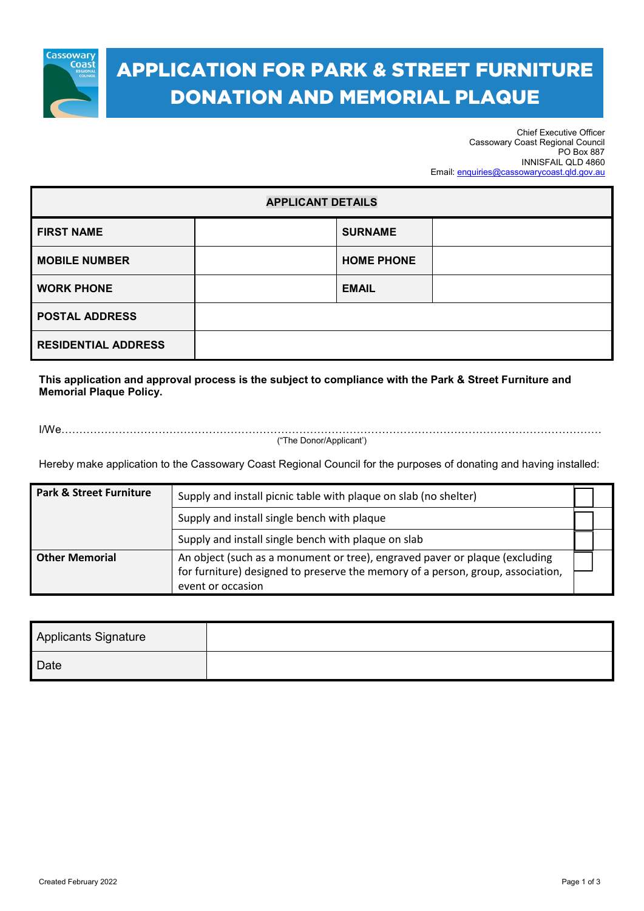

# APPLICATION FOR PARK & STREET FURNITURE DONATION AND MEMORIAL PLAQUE

Chief Executive Officer Cassowary Coast Regional Council PO Box 887 INNISFAIL QLD 4860 Email[: enquiries@cassowarycoast.qld.gov.au](mailto:enquiries@cassowarycoast.qld.gov.au)

| <b>APPLICANT DETAILS</b>   |  |                   |  |  |
|----------------------------|--|-------------------|--|--|
| <b>FIRST NAME</b>          |  | <b>SURNAME</b>    |  |  |
| <b>MOBILE NUMBER</b>       |  | <b>HOME PHONE</b> |  |  |
| <b>WORK PHONE</b>          |  | <b>EMAIL</b>      |  |  |
| <b>POSTAL ADDRESS</b>      |  |                   |  |  |
| <b>RESIDENTIAL ADDRESS</b> |  |                   |  |  |

**This application and approval process is the subject to compliance with the Park & Street Furniture and Memorial Plaque Policy.**

I/We……………………………………………………………………………………………………………………………………

("The Donor/Applicant')

Hereby make application to the Cassowary Coast Regional Council for the purposes of donating and having installed:

| <b>Park &amp; Street Furniture</b> | Supply and install picnic table with plaque on slab (no shelter)                                                                                                                    |  |  |
|------------------------------------|-------------------------------------------------------------------------------------------------------------------------------------------------------------------------------------|--|--|
|                                    | Supply and install single bench with plaque                                                                                                                                         |  |  |
|                                    | Supply and install single bench with plaque on slab                                                                                                                                 |  |  |
| <b>Other Memorial</b>              | An object (such as a monument or tree), engraved paver or plaque (excluding<br>for furniture) designed to preserve the memory of a person, group, association,<br>event or occasion |  |  |

| <b>Applicants Signature</b> |  |
|-----------------------------|--|
| Date                        |  |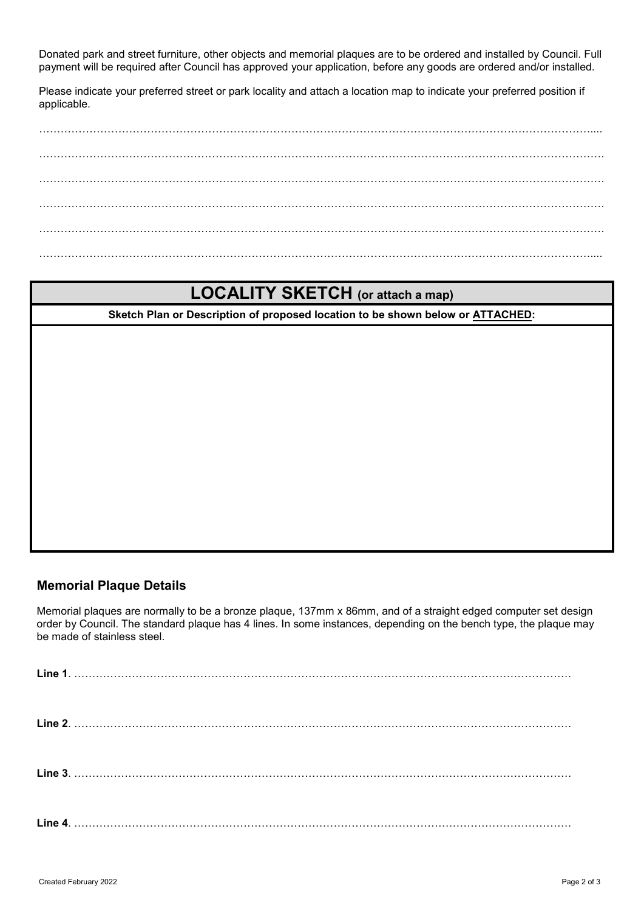Donated park and street furniture, other objects and memorial plaques are to be ordered and installed by Council. Full payment will be required after Council has approved your application, before any goods are ordered and/or installed.

Please indicate your preferred street or park locality and attach a location map to indicate your preferred position if applicable.

……………………………………………………………………………………………………………………………………….... …………………………………………………………………………………………………………………………………………. …………………………………………………………………………………………………………………………………………. …………………………………………………………………………………………………………………………………………. ………………………………………………………………………………………………………………………………………....

### **LOCALITY SKETCH (or attach a map)**

**Sketch Plan or Description of proposed location to be shown below or ATTACHED:**

#### **Memorial Plaque Details**

Memorial plaques are normally to be a bronze plaque, 137mm x 86mm, and of a straight edged computer set design order by Council. The standard plaque has 4 lines. In some instances, depending on the bench type, the plaque may be made of stainless steel.